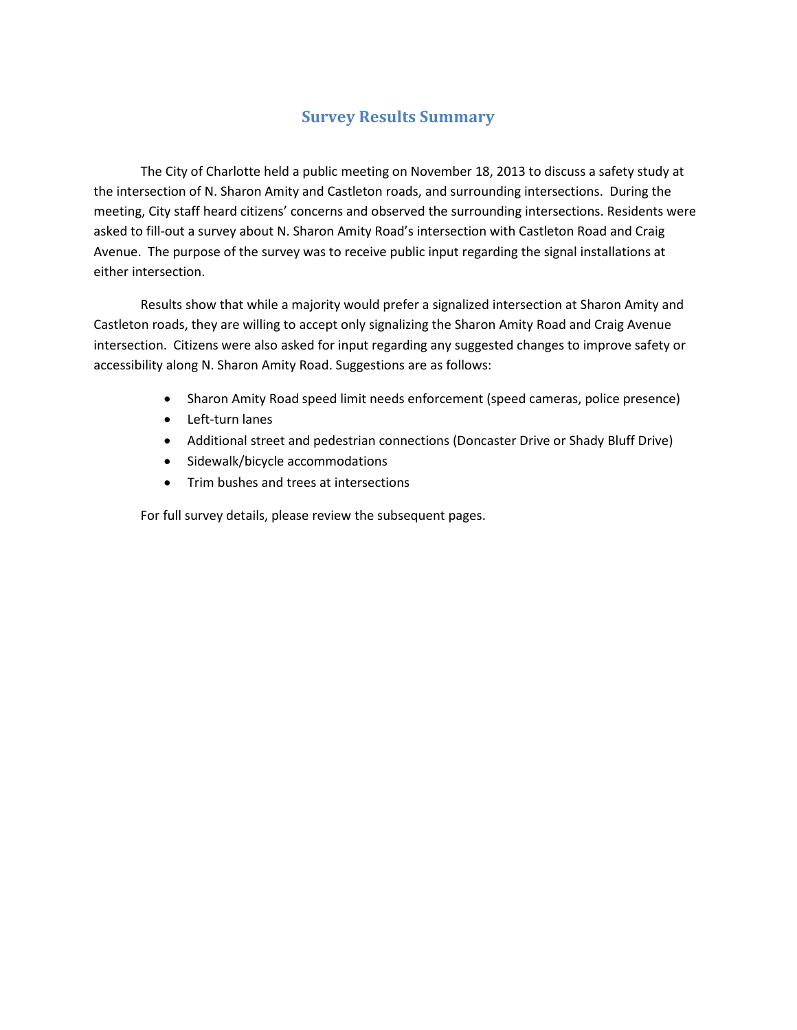## **Survey Results Summary**

The City of Charlotte held a public meeting on November 18, 2013 to discuss a safety study at the intersection of N. Sharon Amity and Castleton roads, and surrounding intersections. During the meeting, City staff heard citizens' concerns and observed the surrounding intersections. Residents were asked to fill-out a survey about N. Sharon Amity Road's intersection with Castleton Road and Craig Avenue. The purpose of the survey was to receive public input regarding the signal installations at either intersection.

Results show that while a majority would prefer a signalized intersection at Sharon Amity and Castleton roads, they are willing to accept only signalizing the Sharon Amity Road and Craig Avenue intersection. Citizens were also asked for input regarding any suggested changes to improve safety or accessibility along N. Sharon Amity Road. Suggestions are as follows:

- Sharon Amity Road speed limit needs enforcement (speed cameras, police presence)
- Left-turn lanes
- Additional street and pedestrian connections (Doncaster Drive or Shady Bluff Drive)
- Sidewalk/bicycle accommodations
- Trim bushes and trees at intersections

For full survey details, please review the subsequent pages.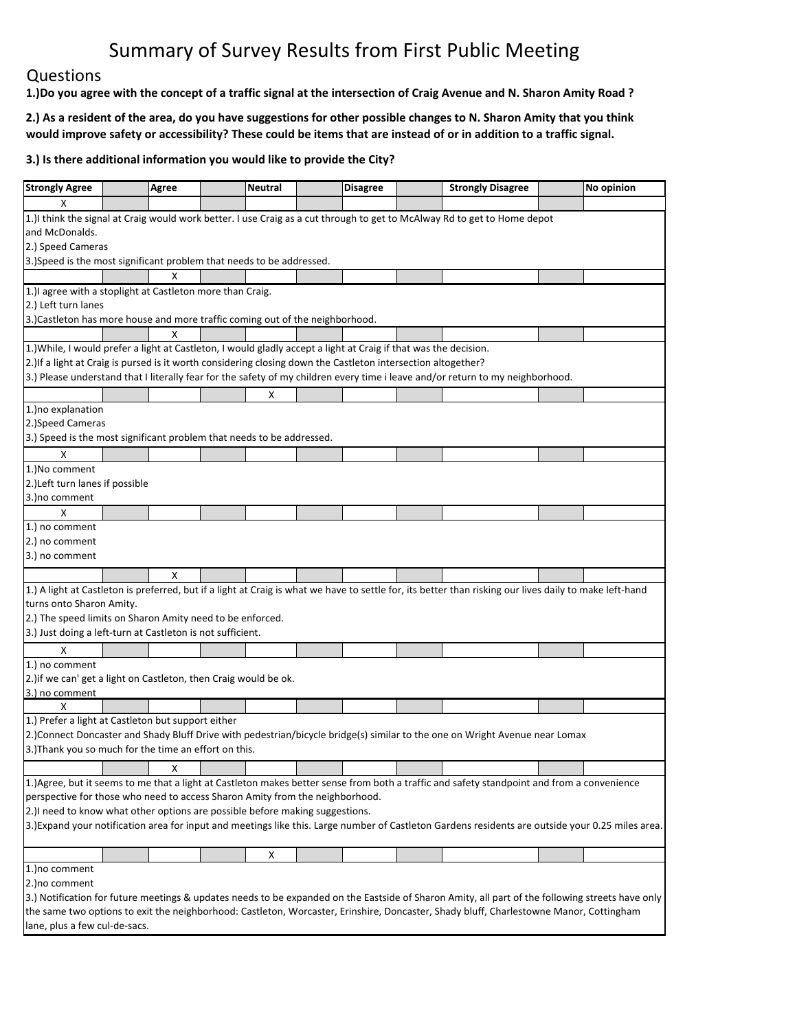### Questions

lane, plus a few cul‐de‐sacs.

1.) Do you agree with the concept of a traffic signal at the intersection of Craig Avenue and N. Sharon Amity Road?

2.) As a resident of the area, do you have suggestions for other possible changes to N. Sharon Amity that you think would improve safety or accessibility? These could be items that are instead of or in addition to a traffic signal.

| <b>Strongly Agree</b>                                                                                            |  | <b>Agree</b> |  | <b>Neutral</b> |  | <b>Disagree</b> |  | <b>Strongly Disagree</b>                                                                                                                                |  | No opinion |
|------------------------------------------------------------------------------------------------------------------|--|--------------|--|----------------|--|-----------------|--|---------------------------------------------------------------------------------------------------------------------------------------------------------|--|------------|
| x                                                                                                                |  |              |  |                |  |                 |  |                                                                                                                                                         |  |            |
|                                                                                                                  |  |              |  |                |  |                 |  | 1.) I think the signal at Craig would work better. I use Craig as a cut through to get to McAlway Rd to get to Home depot                               |  |            |
| and McDonalds.                                                                                                   |  |              |  |                |  |                 |  |                                                                                                                                                         |  |            |
| 2.) Speed Cameras                                                                                                |  |              |  |                |  |                 |  |                                                                                                                                                         |  |            |
| 3.)Speed is the most significant problem that needs to be addressed.                                             |  |              |  |                |  |                 |  |                                                                                                                                                         |  |            |
|                                                                                                                  |  | х            |  |                |  |                 |  |                                                                                                                                                         |  |            |
| 1.) lagree with a stoplight at Castleton more than Craig.                                                        |  |              |  |                |  |                 |  |                                                                                                                                                         |  |            |
| 2.) Left turn lanes                                                                                              |  |              |  |                |  |                 |  |                                                                                                                                                         |  |            |
| 3.)Castleton has more house and more traffic coming out of the neighborhood.                                     |  |              |  |                |  |                 |  |                                                                                                                                                         |  |            |
|                                                                                                                  |  | х            |  |                |  |                 |  |                                                                                                                                                         |  |            |
| 1.) While, I would prefer a light at Castleton, I would gladly accept a light at Craig if that was the decision. |  |              |  |                |  |                 |  |                                                                                                                                                         |  |            |
| 2.) If a light at Craig is pursed is it worth considering closing down the Castleton intersection altogether?    |  |              |  |                |  |                 |  |                                                                                                                                                         |  |            |
|                                                                                                                  |  |              |  |                |  |                 |  | 3.) Please understand that I literally fear for the safety of my children every time i leave and/or return to my neighborhood.                          |  |            |
|                                                                                                                  |  |              |  | X              |  |                 |  |                                                                                                                                                         |  |            |
| 1.) no explanation                                                                                               |  |              |  |                |  |                 |  |                                                                                                                                                         |  |            |
| 2.)Speed Cameras                                                                                                 |  |              |  |                |  |                 |  |                                                                                                                                                         |  |            |
| 3.) Speed is the most significant problem that needs to be addressed.                                            |  |              |  |                |  |                 |  |                                                                                                                                                         |  |            |
| x                                                                                                                |  |              |  |                |  |                 |  |                                                                                                                                                         |  |            |
| 1.) No comment                                                                                                   |  |              |  |                |  |                 |  |                                                                                                                                                         |  |            |
| 2.) Left turn lanes if possible                                                                                  |  |              |  |                |  |                 |  |                                                                                                                                                         |  |            |
| 3.) no comment                                                                                                   |  |              |  |                |  |                 |  |                                                                                                                                                         |  |            |
| X                                                                                                                |  |              |  |                |  |                 |  |                                                                                                                                                         |  |            |
| 1.) no comment                                                                                                   |  |              |  |                |  |                 |  |                                                                                                                                                         |  |            |
| 2.) no comment                                                                                                   |  |              |  |                |  |                 |  |                                                                                                                                                         |  |            |
| 3.) no comment                                                                                                   |  |              |  |                |  |                 |  |                                                                                                                                                         |  |            |
|                                                                                                                  |  |              |  |                |  |                 |  |                                                                                                                                                         |  |            |
|                                                                                                                  |  | X            |  |                |  |                 |  |                                                                                                                                                         |  |            |
|                                                                                                                  |  |              |  |                |  |                 |  | 1.) A light at Castleton is preferred, but if a light at Craig is what we have to settle for, its better than risking our lives daily to make left-hand |  |            |
| turns onto Sharon Amity.                                                                                         |  |              |  |                |  |                 |  |                                                                                                                                                         |  |            |
| 2.) The speed limits on Sharon Amity need to be enforced.                                                        |  |              |  |                |  |                 |  |                                                                                                                                                         |  |            |
| 3.) Just doing a left-turn at Castleton is not sufficient.                                                       |  |              |  |                |  |                 |  |                                                                                                                                                         |  |            |
| X                                                                                                                |  |              |  |                |  |                 |  |                                                                                                                                                         |  |            |
| 1.) no comment                                                                                                   |  |              |  |                |  |                 |  |                                                                                                                                                         |  |            |
| 2.) if we can' get a light on Castleton, then Craig would be ok.                                                 |  |              |  |                |  |                 |  |                                                                                                                                                         |  |            |
| 3.) no comment                                                                                                   |  |              |  |                |  |                 |  |                                                                                                                                                         |  |            |
| X                                                                                                                |  |              |  |                |  |                 |  |                                                                                                                                                         |  |            |
| 1.) Prefer a light at Castleton but support either                                                               |  |              |  |                |  |                 |  |                                                                                                                                                         |  |            |
|                                                                                                                  |  |              |  |                |  |                 |  | 2.)Connect Doncaster and Shady Bluff Drive with pedestrian/bicycle bridge(s) similar to the one on Wright Avenue near Lomax                             |  |            |
| 3.) Thank you so much for the time an effort on this.                                                            |  |              |  |                |  |                 |  |                                                                                                                                                         |  |            |
|                                                                                                                  |  | х            |  |                |  |                 |  |                                                                                                                                                         |  |            |
|                                                                                                                  |  |              |  |                |  |                 |  | 1.) Agree, but it seems to me that a light at Castleton makes better sense from both a traffic and safety standpoint and from a convenience             |  |            |
| perspective for those who need to access Sharon Amity from the neighborhood.                                     |  |              |  |                |  |                 |  |                                                                                                                                                         |  |            |
| 2.) I need to know what other options are possible before making suggestions.                                    |  |              |  |                |  |                 |  |                                                                                                                                                         |  |            |
|                                                                                                                  |  |              |  |                |  |                 |  | 3.) Expand your notification area for input and meetings like this. Large number of Castleton Gardens residents are outside your 0.25 miles area.       |  |            |
|                                                                                                                  |  |              |  |                |  |                 |  |                                                                                                                                                         |  |            |
|                                                                                                                  |  |              |  | x              |  |                 |  |                                                                                                                                                         |  |            |
| 1.) no comment                                                                                                   |  |              |  |                |  |                 |  |                                                                                                                                                         |  |            |
| 2.) no comment                                                                                                   |  |              |  |                |  |                 |  |                                                                                                                                                         |  |            |
|                                                                                                                  |  |              |  |                |  |                 |  | 3.) Notification for future meetings & updates needs to be expanded on the Eastside of Sharon Amity, all part of the following streets have only        |  |            |
|                                                                                                                  |  |              |  |                |  |                 |  | the same two options to exit the neighborhood: Castleton, Worcaster, Erinshire, Doncaster, Shady bluff, Charlestowne Manor, Cottingham                  |  |            |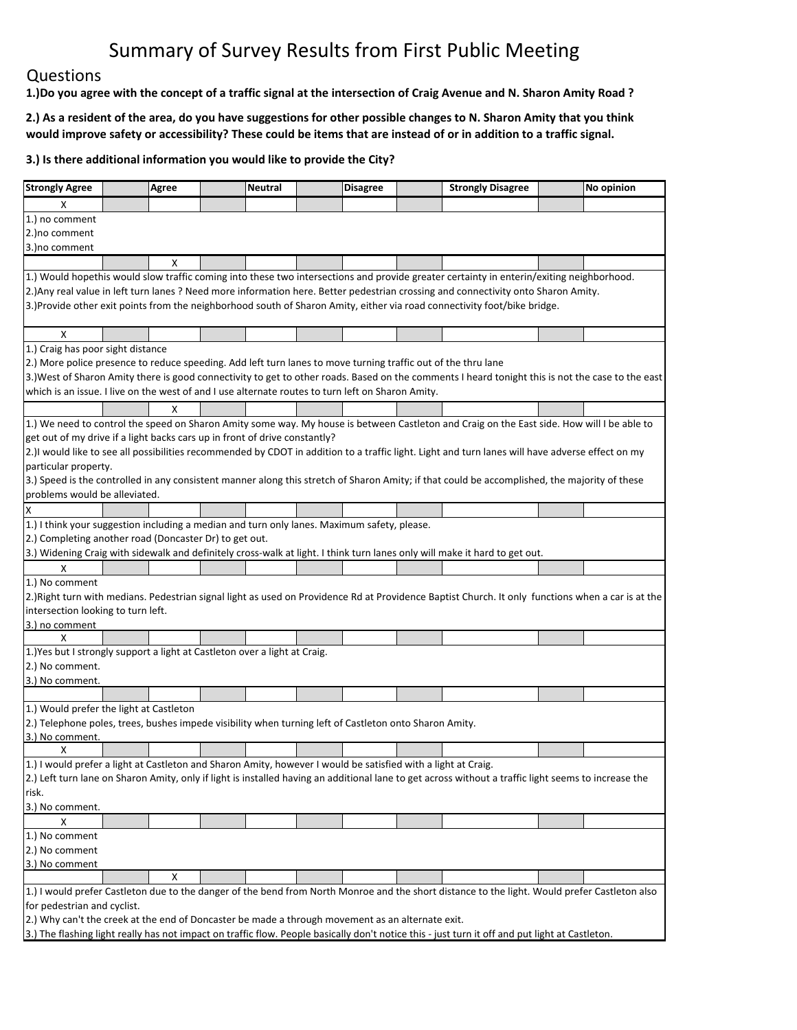## Questions

1.) Do you agree with the concept of a traffic signal at the intersection of Craig Avenue and N. Sharon Amity Road?

2.) As a resident of the area, do you have suggestions for other possible changes to N. Sharon Amity that you think would improve safety or accessibility? These could be items that are instead of or in addition to a traffic signal.

| <b>Strongly Agree</b>                                                                                                                                                                                                                                                         |  | Agree |  | <b>Neutral</b> |  | <b>Disagree</b> |  | <b>Strongly Disagree</b>                                                                                                                             |  | No opinion |  |
|-------------------------------------------------------------------------------------------------------------------------------------------------------------------------------------------------------------------------------------------------------------------------------|--|-------|--|----------------|--|-----------------|--|------------------------------------------------------------------------------------------------------------------------------------------------------|--|------------|--|
| X                                                                                                                                                                                                                                                                             |  |       |  |                |  |                 |  |                                                                                                                                                      |  |            |  |
| 1.) no comment                                                                                                                                                                                                                                                                |  |       |  |                |  |                 |  |                                                                                                                                                      |  |            |  |
| 2.) no comment                                                                                                                                                                                                                                                                |  |       |  |                |  |                 |  |                                                                                                                                                      |  |            |  |
| 3.) no comment                                                                                                                                                                                                                                                                |  |       |  |                |  |                 |  |                                                                                                                                                      |  |            |  |
|                                                                                                                                                                                                                                                                               |  | X     |  |                |  |                 |  |                                                                                                                                                      |  |            |  |
|                                                                                                                                                                                                                                                                               |  |       |  |                |  |                 |  |                                                                                                                                                      |  |            |  |
| 1.) Would hopethis would slow traffic coming into these two intersections and provide greater certainty in enterin/exiting neighborhood.<br>2.) Any real value in left turn lanes? Need more information here. Better pedestrian crossing and connectivity onto Sharon Amity. |  |       |  |                |  |                 |  |                                                                                                                                                      |  |            |  |
| 3.)Provide other exit points from the neighborhood south of Sharon Amity, either via road connectivity foot/bike bridge.                                                                                                                                                      |  |       |  |                |  |                 |  |                                                                                                                                                      |  |            |  |
|                                                                                                                                                                                                                                                                               |  |       |  |                |  |                 |  |                                                                                                                                                      |  |            |  |
| X                                                                                                                                                                                                                                                                             |  |       |  |                |  |                 |  |                                                                                                                                                      |  |            |  |
| 1.) Craig has poor sight distance                                                                                                                                                                                                                                             |  |       |  |                |  |                 |  |                                                                                                                                                      |  |            |  |
| 2.) More police presence to reduce speeding. Add left turn lanes to move turning traffic out of the thru lane                                                                                                                                                                 |  |       |  |                |  |                 |  |                                                                                                                                                      |  |            |  |
|                                                                                                                                                                                                                                                                               |  |       |  |                |  |                 |  | 3.)West of Sharon Amity there is good connectivity to get to other roads. Based on the comments I heard tonight this is not the case to the east     |  |            |  |
| which is an issue. I live on the west of and I use alternate routes to turn left on Sharon Amity.                                                                                                                                                                             |  |       |  |                |  |                 |  |                                                                                                                                                      |  |            |  |
|                                                                                                                                                                                                                                                                               |  | x     |  |                |  |                 |  |                                                                                                                                                      |  |            |  |
|                                                                                                                                                                                                                                                                               |  |       |  |                |  |                 |  | 1.) We need to control the speed on Sharon Amity some way. My house is between Castleton and Craig on the East side. How will I be able to           |  |            |  |
| get out of my drive if a light backs cars up in front of drive constantly?                                                                                                                                                                                                    |  |       |  |                |  |                 |  |                                                                                                                                                      |  |            |  |
|                                                                                                                                                                                                                                                                               |  |       |  |                |  |                 |  | 2.)I would like to see all possibilities recommended by CDOT in addition to a traffic light. Light and turn lanes will have adverse effect on my     |  |            |  |
| particular property.                                                                                                                                                                                                                                                          |  |       |  |                |  |                 |  |                                                                                                                                                      |  |            |  |
|                                                                                                                                                                                                                                                                               |  |       |  |                |  |                 |  | 3.) Speed is the controlled in any consistent manner along this stretch of Sharon Amity; if that could be accomplished, the majority of these        |  |            |  |
| problems would be alleviated.                                                                                                                                                                                                                                                 |  |       |  |                |  |                 |  |                                                                                                                                                      |  |            |  |
|                                                                                                                                                                                                                                                                               |  |       |  |                |  |                 |  |                                                                                                                                                      |  |            |  |
| 1.) I think your suggestion including a median and turn only lanes. Maximum safety, please.                                                                                                                                                                                   |  |       |  |                |  |                 |  |                                                                                                                                                      |  |            |  |
| 2.) Completing another road (Doncaster Dr) to get out.                                                                                                                                                                                                                        |  |       |  |                |  |                 |  |                                                                                                                                                      |  |            |  |
|                                                                                                                                                                                                                                                                               |  |       |  |                |  |                 |  | [3.] Widening Craig with sidewalk and definitely cross-walk at light. I think turn lanes only will make it hard to get out.                          |  |            |  |
| Χ                                                                                                                                                                                                                                                                             |  |       |  |                |  |                 |  |                                                                                                                                                      |  |            |  |
| 1.) No comment                                                                                                                                                                                                                                                                |  |       |  |                |  |                 |  |                                                                                                                                                      |  |            |  |
|                                                                                                                                                                                                                                                                               |  |       |  |                |  |                 |  | 2.) Right turn with medians. Pedestrian signal light as used on Providence Rd at Providence Baptist Church. It only functions when a car is at the   |  |            |  |
| intersection looking to turn left.                                                                                                                                                                                                                                            |  |       |  |                |  |                 |  |                                                                                                                                                      |  |            |  |
| 3.) no comment                                                                                                                                                                                                                                                                |  |       |  |                |  |                 |  |                                                                                                                                                      |  |            |  |
| X                                                                                                                                                                                                                                                                             |  |       |  |                |  |                 |  |                                                                                                                                                      |  |            |  |
| 1.) Yes but I strongly support a light at Castleton over a light at Craig.                                                                                                                                                                                                    |  |       |  |                |  |                 |  |                                                                                                                                                      |  |            |  |
| 2.) No comment.                                                                                                                                                                                                                                                               |  |       |  |                |  |                 |  |                                                                                                                                                      |  |            |  |
| 3.) No comment.                                                                                                                                                                                                                                                               |  |       |  |                |  |                 |  |                                                                                                                                                      |  |            |  |
|                                                                                                                                                                                                                                                                               |  |       |  |                |  |                 |  |                                                                                                                                                      |  |            |  |
| 1.) Would prefer the light at Castleton                                                                                                                                                                                                                                       |  |       |  |                |  |                 |  |                                                                                                                                                      |  |            |  |
| [2.] Telephone poles, trees, bushes impede visibility when turning left of Castleton onto Sharon Amity.                                                                                                                                                                       |  |       |  |                |  |                 |  |                                                                                                                                                      |  |            |  |
| 3.) No comment.                                                                                                                                                                                                                                                               |  |       |  |                |  |                 |  |                                                                                                                                                      |  |            |  |
| X                                                                                                                                                                                                                                                                             |  |       |  |                |  |                 |  |                                                                                                                                                      |  |            |  |
| 1.) I would prefer a light at Castleton and Sharon Amity, however I would be satisfied with a light at Craig.                                                                                                                                                                 |  |       |  |                |  |                 |  |                                                                                                                                                      |  |            |  |
|                                                                                                                                                                                                                                                                               |  |       |  |                |  |                 |  | 2.) Left turn lane on Sharon Amity, only if light is installed having an additional lane to get across without a traffic light seems to increase the |  |            |  |
| risk.                                                                                                                                                                                                                                                                         |  |       |  |                |  |                 |  |                                                                                                                                                      |  |            |  |
| 3.) No comment.                                                                                                                                                                                                                                                               |  |       |  |                |  |                 |  |                                                                                                                                                      |  |            |  |
| х                                                                                                                                                                                                                                                                             |  |       |  |                |  |                 |  |                                                                                                                                                      |  |            |  |
| 1.) No comment                                                                                                                                                                                                                                                                |  |       |  |                |  |                 |  |                                                                                                                                                      |  |            |  |
| 2.) No comment                                                                                                                                                                                                                                                                |  |       |  |                |  |                 |  |                                                                                                                                                      |  |            |  |
| 3.) No comment                                                                                                                                                                                                                                                                |  |       |  |                |  |                 |  |                                                                                                                                                      |  |            |  |
|                                                                                                                                                                                                                                                                               |  | х     |  |                |  |                 |  |                                                                                                                                                      |  |            |  |
|                                                                                                                                                                                                                                                                               |  |       |  |                |  |                 |  | 1.) I would prefer Castleton due to the danger of the bend from North Monroe and the short distance to the light. Would prefer Castleton also        |  |            |  |
| for pedestrian and cyclist.                                                                                                                                                                                                                                                   |  |       |  |                |  |                 |  |                                                                                                                                                      |  |            |  |
| [2.] Why can't the creek at the end of Doncaster be made a through movement as an alternate exit.                                                                                                                                                                             |  |       |  |                |  |                 |  |                                                                                                                                                      |  |            |  |
|                                                                                                                                                                                                                                                                               |  |       |  |                |  |                 |  | [3.] The flashing light really has not impact on traffic flow. People basically don't notice this - just turn it off and put light at Castleton.     |  |            |  |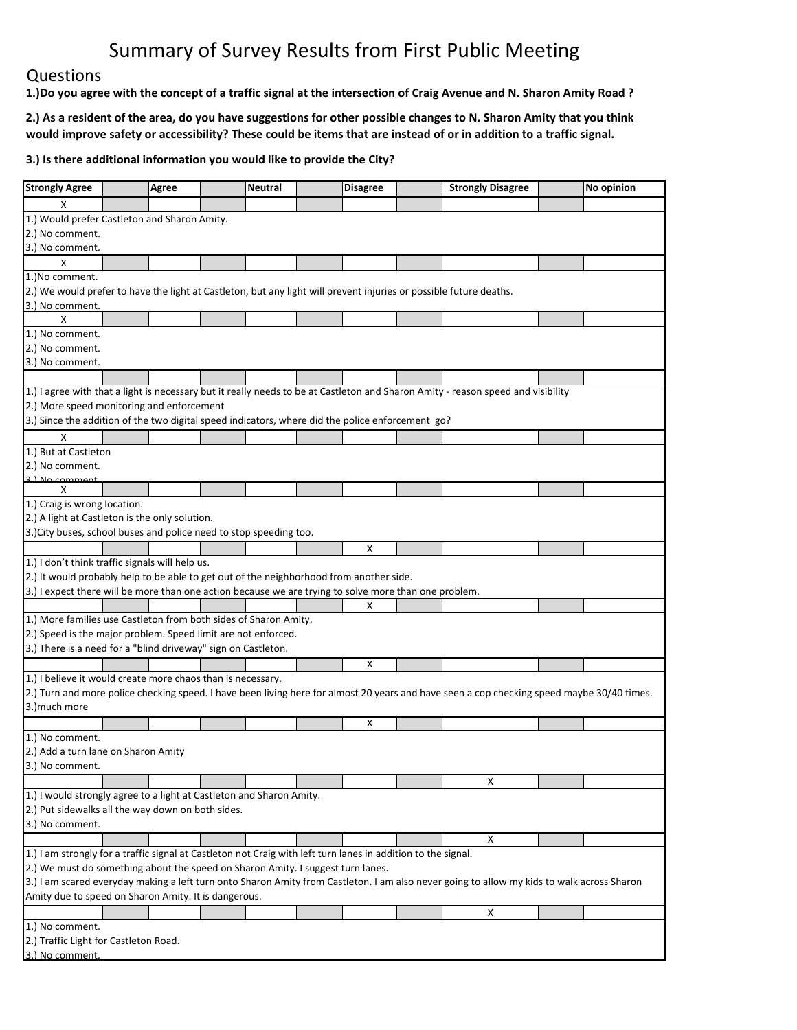## Questions

1.) Do you agree with the concept of a traffic signal at the intersection of Craig Avenue and N. Sharon Amity Road?

2.) As a resident of the area, do you have suggestions for other possible changes to N. Sharon Amity that you think would improve safety or accessibility? These could be items that are instead of or in addition to a traffic signal.

| <b>Strongly Agree</b>                                                                                                                                                                                    | <b>Agree</b>                                         |  | <b>Neutral</b> | <b>Disagree</b> |  | <b>Strongly Disagree</b> |  | No opinion |  |  |  |
|----------------------------------------------------------------------------------------------------------------------------------------------------------------------------------------------------------|------------------------------------------------------|--|----------------|-----------------|--|--------------------------|--|------------|--|--|--|
| x                                                                                                                                                                                                        |                                                      |  |                |                 |  |                          |  |            |  |  |  |
| 1.) Would prefer Castleton and Sharon Amity.                                                                                                                                                             |                                                      |  |                |                 |  |                          |  |            |  |  |  |
| 2.) No comment.                                                                                                                                                                                          |                                                      |  |                |                 |  |                          |  |            |  |  |  |
| 3.) No comment.                                                                                                                                                                                          |                                                      |  |                |                 |  |                          |  |            |  |  |  |
| Х                                                                                                                                                                                                        |                                                      |  |                |                 |  |                          |  |            |  |  |  |
| 1.) No comment.                                                                                                                                                                                          |                                                      |  |                |                 |  |                          |  |            |  |  |  |
| [2.] We would prefer to have the light at Castleton, but any light will prevent injuries or possible future deaths.                                                                                      |                                                      |  |                |                 |  |                          |  |            |  |  |  |
| 3.) No comment.                                                                                                                                                                                          |                                                      |  |                |                 |  |                          |  |            |  |  |  |
| Х                                                                                                                                                                                                        |                                                      |  |                |                 |  |                          |  |            |  |  |  |
| 1.) No comment.                                                                                                                                                                                          |                                                      |  |                |                 |  |                          |  |            |  |  |  |
| 2.) No comment.                                                                                                                                                                                          |                                                      |  |                |                 |  |                          |  |            |  |  |  |
| 3.) No comment.                                                                                                                                                                                          |                                                      |  |                |                 |  |                          |  |            |  |  |  |
|                                                                                                                                                                                                          |                                                      |  |                |                 |  |                          |  |            |  |  |  |
| 1.) I agree with that a light is necessary but it really needs to be at Castleton and Sharon Amity - reason speed and visibility                                                                         |                                                      |  |                |                 |  |                          |  |            |  |  |  |
| 2.) More speed monitoring and enforcement                                                                                                                                                                |                                                      |  |                |                 |  |                          |  |            |  |  |  |
| 3.) Since the addition of the two digital speed indicators, where did the police enforcement go?                                                                                                         |                                                      |  |                |                 |  |                          |  |            |  |  |  |
| X                                                                                                                                                                                                        |                                                      |  |                |                 |  |                          |  |            |  |  |  |
| 1.) But at Castleton                                                                                                                                                                                     |                                                      |  |                |                 |  |                          |  |            |  |  |  |
| 2.) No comment.                                                                                                                                                                                          |                                                      |  |                |                 |  |                          |  |            |  |  |  |
| 2 ) No comment                                                                                                                                                                                           |                                                      |  |                |                 |  |                          |  |            |  |  |  |
| x                                                                                                                                                                                                        |                                                      |  |                |                 |  |                          |  |            |  |  |  |
| 1.) Craig is wrong location.                                                                                                                                                                             |                                                      |  |                |                 |  |                          |  |            |  |  |  |
| 2.) A light at Castleton is the only solution.                                                                                                                                                           |                                                      |  |                |                 |  |                          |  |            |  |  |  |
| 3.) City buses, school buses and police need to stop speeding too.                                                                                                                                       |                                                      |  |                |                 |  |                          |  |            |  |  |  |
|                                                                                                                                                                                                          |                                                      |  |                | Χ               |  |                          |  |            |  |  |  |
| 1.) I don't think traffic signals will help us.                                                                                                                                                          |                                                      |  |                |                 |  |                          |  |            |  |  |  |
| 2.) It would probably help to be able to get out of the neighborhood from another side.                                                                                                                  |                                                      |  |                |                 |  |                          |  |            |  |  |  |
| 3.) I expect there will be more than one action because we are trying to solve more than one problem.                                                                                                    |                                                      |  |                |                 |  |                          |  |            |  |  |  |
|                                                                                                                                                                                                          |                                                      |  |                | X               |  |                          |  |            |  |  |  |
| 1.) More families use Castleton from both sides of Sharon Amity.                                                                                                                                         |                                                      |  |                |                 |  |                          |  |            |  |  |  |
| 2.) Speed is the major problem. Speed limit are not enforced.                                                                                                                                            |                                                      |  |                |                 |  |                          |  |            |  |  |  |
| 3.) There is a need for a "blind driveway" sign on Castleton.                                                                                                                                            |                                                      |  |                |                 |  |                          |  |            |  |  |  |
|                                                                                                                                                                                                          |                                                      |  |                | х               |  |                          |  |            |  |  |  |
| 1.) I believe it would create more chaos than is necessary.                                                                                                                                              |                                                      |  |                |                 |  |                          |  |            |  |  |  |
| 2.) Turn and more police checking speed. I have been living here for almost 20 years and have seen a cop checking speed maybe 30/40 times.                                                               |                                                      |  |                |                 |  |                          |  |            |  |  |  |
| 3.) much more                                                                                                                                                                                            |                                                      |  |                |                 |  |                          |  |            |  |  |  |
|                                                                                                                                                                                                          |                                                      |  |                | х               |  |                          |  |            |  |  |  |
| 1.) No comment.                                                                                                                                                                                          |                                                      |  |                |                 |  |                          |  |            |  |  |  |
| 2.) Add a turn lane on Sharon Amity                                                                                                                                                                      |                                                      |  |                |                 |  |                          |  |            |  |  |  |
| 3.) No comment.                                                                                                                                                                                          |                                                      |  |                |                 |  |                          |  |            |  |  |  |
|                                                                                                                                                                                                          |                                                      |  |                |                 |  | х                        |  |            |  |  |  |
| 1.) I would strongly agree to a light at Castleton and Sharon Amity.                                                                                                                                     |                                                      |  |                |                 |  |                          |  |            |  |  |  |
| 2.) Put sidewalks all the way down on both sides.                                                                                                                                                        |                                                      |  |                |                 |  |                          |  |            |  |  |  |
| 3.) No comment.                                                                                                                                                                                          |                                                      |  |                |                 |  |                          |  |            |  |  |  |
|                                                                                                                                                                                                          |                                                      |  |                |                 |  | х                        |  |            |  |  |  |
|                                                                                                                                                                                                          |                                                      |  |                |                 |  |                          |  |            |  |  |  |
| $\vert$ 1.) I am strongly for a traffic signal at Castleton not Craig with left turn lanes in addition to the signal.<br>2.) We must do something about the speed on Sharon Amity. I suggest turn lanes. |                                                      |  |                |                 |  |                          |  |            |  |  |  |
| 3.) I am scared everyday making a left turn onto Sharon Amity from Castleton. I am also never going to allow my kids to walk across Sharon                                                               |                                                      |  |                |                 |  |                          |  |            |  |  |  |
|                                                                                                                                                                                                          | Amity due to speed on Sharon Amity. It is dangerous. |  |                |                 |  |                          |  |            |  |  |  |
|                                                                                                                                                                                                          |                                                      |  |                |                 |  | Х                        |  |            |  |  |  |
| 1.) No comment.                                                                                                                                                                                          |                                                      |  |                |                 |  |                          |  |            |  |  |  |
|                                                                                                                                                                                                          | 2.) Traffic Light for Castleton Road.                |  |                |                 |  |                          |  |            |  |  |  |
|                                                                                                                                                                                                          | 3.) No comment.                                      |  |                |                 |  |                          |  |            |  |  |  |